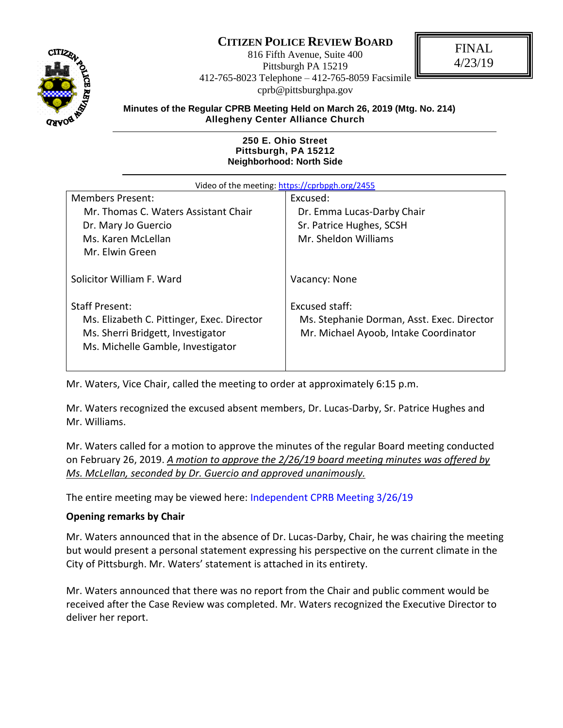# **CITIZEN POLICE REVIEW BOARD**



816 Fifth Avenue, Suite 400 Pittsburgh PA 15219 412-765-8023 Telephone – 412-765-8059 Facsimile cprb@pittsburghpa.gov

FINAL 4/23/19

**Minutes of the Regular CPRB Meeting Held on March 26, 2019 (Mtg. No. 214) Allegheny Center Alliance Church** 

#### **250 E. Ohio Street Pittsburgh, PA 15212 Neighborhood: North Side**

| Video of the meeting: https://cprbpgh.org/2455                                                                       |                                                                                     |  |  |
|----------------------------------------------------------------------------------------------------------------------|-------------------------------------------------------------------------------------|--|--|
| <b>Members Present:</b>                                                                                              | Excused:                                                                            |  |  |
| Mr. Thomas C. Waters Assistant Chair                                                                                 | Dr. Emma Lucas-Darby Chair                                                          |  |  |
| Dr. Mary Jo Guercio                                                                                                  | Sr. Patrice Hughes, SCSH                                                            |  |  |
| Ms. Karen McLellan                                                                                                   | Mr. Sheldon Williams                                                                |  |  |
| Mr. Elwin Green                                                                                                      |                                                                                     |  |  |
| Solicitor William F. Ward                                                                                            | Vacancy: None                                                                       |  |  |
| <b>Staff Present:</b>                                                                                                | Excused staff:                                                                      |  |  |
| Ms. Elizabeth C. Pittinger, Exec. Director<br>Ms. Sherri Bridgett, Investigator<br>Ms. Michelle Gamble, Investigator | Ms. Stephanie Dorman, Asst. Exec. Director<br>Mr. Michael Ayoob, Intake Coordinator |  |  |

Mr. Waters, Vice Chair, called the meeting to order at approximately 6:15 p.m.

Mr. Waters recognized the excused absent members, Dr. Lucas-Darby, Sr. Patrice Hughes and Mr. Williams.

Mr. Waters called for a motion to approve the minutes of the regular Board meeting conducted on February 26, 2019. *A motion to approve the 2/26/19 board meeting minutes was offered by Ms. McLellan, seconded by Dr. Guercio and approved unanimously.*

The entire meeting may be viewed here: [Independent CPRB Meeting 3/26/19](https://cprbpgh.org/2455)

#### **Opening remarks by Chair**

Mr. Waters announced that in the absence of Dr. Lucas-Darby, Chair, he was chairing the meeting but would present a personal statement expressing his perspective on the current climate in the City of Pittsburgh. Mr. Waters' statement is attached in its entirety.

Mr. Waters announced that there was no report from the Chair and public comment would be received after the Case Review was completed. Mr. Waters recognized the Executive Director to deliver her report.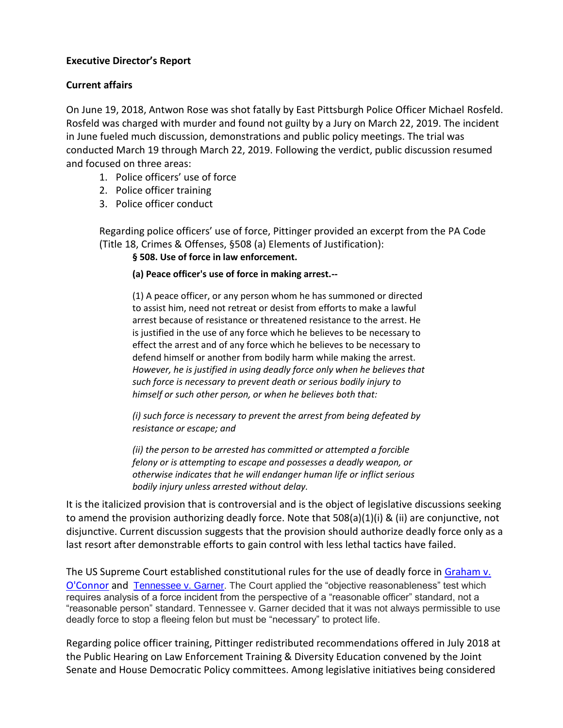## **Executive Director's Report**

# **Current affairs**

On June 19, 2018, Antwon Rose was shot fatally by East Pittsburgh Police Officer Michael Rosfeld. Rosfeld was charged with murder and found not guilty by a Jury on March 22, 2019. The incident in June fueled much discussion, demonstrations and public policy meetings. The trial was conducted March 19 through March 22, 2019. Following the verdict, public discussion resumed and focused on three areas:

- 1. Police officers' use of force
- 2. Police officer training
- 3. Police officer conduct

Regarding police officers' use of force, Pittinger provided an excerpt from the PA Code (Title 18, Crimes & Offenses, §508 (a) Elements of Justification):

## **§ 508. Use of force in law enforcement.**

#### **(a) Peace officer's use of force in making arrest.--**

(1) A peace officer, or any person whom he has summoned or directed to assist him, need not retreat or desist from efforts to make a lawful arrest because of resistance or threatened resistance to the arrest. He is justified in the use of any force which he believes to be necessary to effect the arrest and of any force which he believes to be necessary to defend himself or another from bodily harm while making the arrest. *However, he is justified in using deadly force only when he believes that such force is necessary to prevent death or serious bodily injury to himself or such other person, or when he believes both that:*

*(i) such force is necessary to prevent the arrest from being defeated by resistance or escape; and*

*(ii) the person to be arrested has committed or attempted a forcible felony or is attempting to escape and possesses a deadly weapon, or otherwise indicates that he will endanger human life or inflict serious bodily injury unless arrested without delay.*

It is the italicized provision that is controversial and is the object of legislative discussions seeking to amend the provision authorizing deadly force. Note that 508(a)(1)(i) & (ii) are conjunctive, not disjunctive. Current discussion suggests that the provision should authorize deadly force only as a last resort after demonstrable efforts to gain control with less lethal tactics have failed.

The US Supreme Court established constitutional rules for the use of deadly force in [Graham v.](https://supreme.justia.com/cases/federal/us/490/386/)  [O'Connor](https://supreme.justia.com/cases/federal/us/490/386/) and [Tennessee v. Garner.](https://supreme.justia.com/cases/federal/us/471/1/) The Court applied the "objective reasonableness" test which requires analysis of a force incident from the perspective of a "reasonable officer" standard, not a "reasonable person" standard. Tennessee v. Garner decided that it was not always permissible to use deadly force to stop a fleeing felon but must be "necessary" to protect life.

Regarding police officer training, Pittinger redistributed recommendations offered in July 2018 at the Public Hearing on Law Enforcement Training & Diversity Education convened by the Joint Senate and House Democratic Policy committees. Among legislative initiatives being considered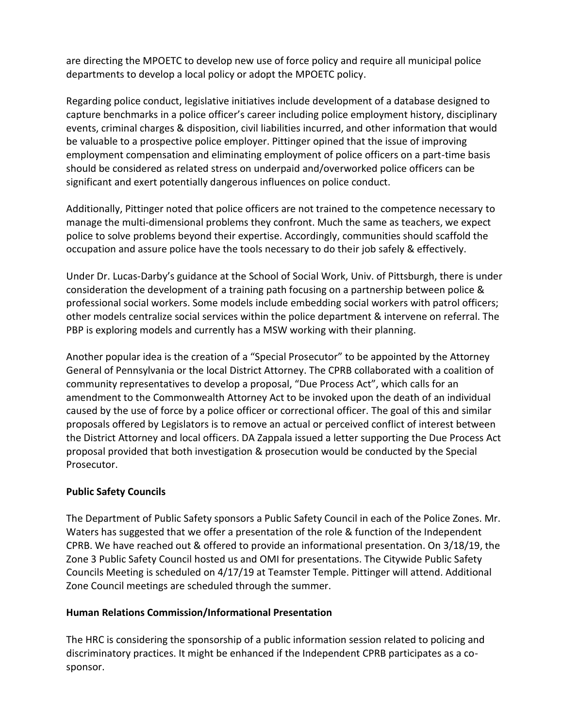are directing the MPOETC to develop new use of force policy and require all municipal police departments to develop a local policy or adopt the MPOETC policy.

Regarding police conduct, legislative initiatives include development of a database designed to capture benchmarks in a police officer's career including police employment history, disciplinary events, criminal charges & disposition, civil liabilities incurred, and other information that would be valuable to a prospective police employer. Pittinger opined that the issue of improving employment compensation and eliminating employment of police officers on a part-time basis should be considered as related stress on underpaid and/overworked police officers can be significant and exert potentially dangerous influences on police conduct.

Additionally, Pittinger noted that police officers are not trained to the competence necessary to manage the multi-dimensional problems they confront. Much the same as teachers, we expect police to solve problems beyond their expertise. Accordingly, communities should scaffold the occupation and assure police have the tools necessary to do their job safely & effectively.

Under Dr. Lucas-Darby's guidance at the School of Social Work, Univ. of Pittsburgh, there is under consideration the development of a training path focusing on a partnership between police & professional social workers. Some models include embedding social workers with patrol officers; other models centralize social services within the police department & intervene on referral. The PBP is exploring models and currently has a MSW working with their planning.

Another popular idea is the creation of a "Special Prosecutor" to be appointed by the Attorney General of Pennsylvania or the local District Attorney. The CPRB collaborated with a coalition of community representatives to develop a proposal, "Due Process Act", which calls for an amendment to the Commonwealth Attorney Act to be invoked upon the death of an individual caused by the use of force by a police officer or correctional officer. The goal of this and similar proposals offered by Legislators is to remove an actual or perceived conflict of interest between the District Attorney and local officers. DA Zappala issued a letter supporting the Due Process Act proposal provided that both investigation & prosecution would be conducted by the Special Prosecutor.

# **Public Safety Councils**

The Department of Public Safety sponsors a Public Safety Council in each of the Police Zones. Mr. Waters has suggested that we offer a presentation of the role & function of the Independent CPRB. We have reached out & offered to provide an informational presentation. On 3/18/19, the Zone 3 Public Safety Council hosted us and OMI for presentations. The Citywide Public Safety Councils Meeting is scheduled on 4/17/19 at Teamster Temple. Pittinger will attend. Additional Zone Council meetings are scheduled through the summer.

# **Human Relations Commission/Informational Presentation**

The HRC is considering the sponsorship of a public information session related to policing and discriminatory practices. It might be enhanced if the Independent CPRB participates as a cosponsor.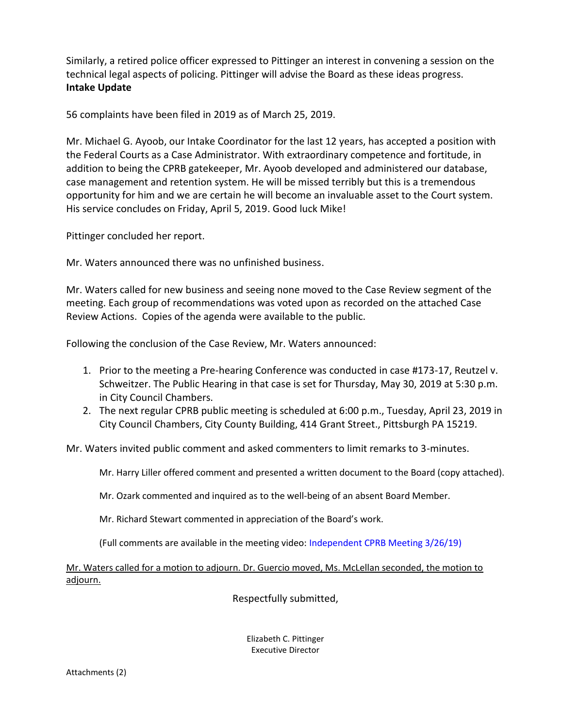Similarly, a retired police officer expressed to Pittinger an interest in convening a session on the technical legal aspects of policing. Pittinger will advise the Board as these ideas progress. **Intake Update**

56 complaints have been filed in 2019 as of March 25, 2019.

Mr. Michael G. Ayoob, our Intake Coordinator for the last 12 years, has accepted a position with the Federal Courts as a Case Administrator. With extraordinary competence and fortitude, in addition to being the CPRB gatekeeper, Mr. Ayoob developed and administered our database, case management and retention system. He will be missed terribly but this is a tremendous opportunity for him and we are certain he will become an invaluable asset to the Court system. His service concludes on Friday, April 5, 2019. Good luck Mike!

Pittinger concluded her report.

Mr. Waters announced there was no unfinished business.

Mr. Waters called for new business and seeing none moved to the Case Review segment of the meeting. Each group of recommendations was voted upon as recorded on the attached Case Review Actions. Copies of the agenda were available to the public.

Following the conclusion of the Case Review, Mr. Waters announced:

- 1. Prior to the meeting a Pre-hearing Conference was conducted in case #173-17, Reutzel v. Schweitzer. The Public Hearing in that case is set for Thursday, May 30, 2019 at 5:30 p.m. in City Council Chambers.
- 2. The next regular CPRB public meeting is scheduled at 6:00 p.m., Tuesday, April 23, 2019 in City Council Chambers, City County Building, 414 Grant Street., Pittsburgh PA 15219.

Mr. Waters invited public comment and asked commenters to limit remarks to 3-minutes.

Mr. Harry Liller offered comment and presented a written document to the Board (copy attached).

Mr. Ozark commented and inquired as to the well-being of an absent Board Member.

Mr. Richard Stewart commented in appreciation of the Board's work.

(Full comments are available in the meeting video: [Independent CPRB Meeting 3/26/19\)](https://cprbpgh.org/2455)

Mr. Waters called for a motion to adjourn. Dr. Guercio moved, Ms. McLellan seconded, the motion to adjourn.

Respectfully submitted,

Elizabeth C. Pittinger Executive Director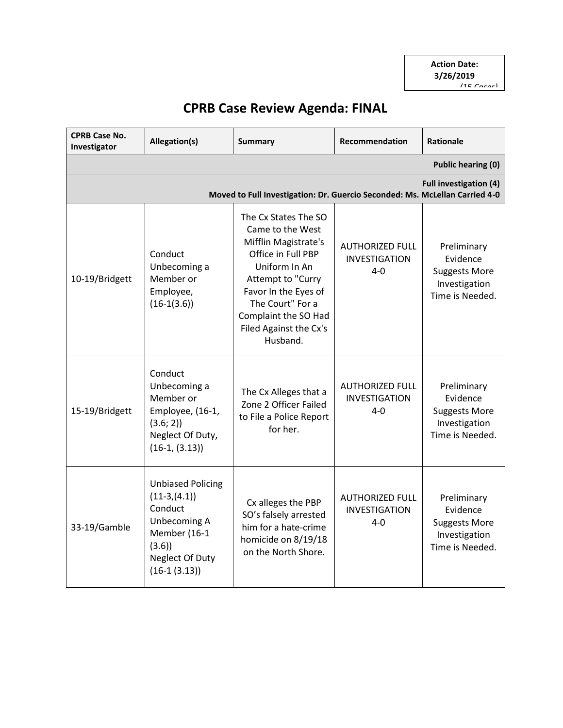# **CPRB Case Review Agenda: FINAL**

| <b>CPRB Case No.</b><br>Investigator                                                                         | Allegation(s)                                                                                                                        | <b>Summary</b>                                                                                                                                                                                                                         | <b>Recommendation</b>                                     | <b>Rationale</b>                                                                    |
|--------------------------------------------------------------------------------------------------------------|--------------------------------------------------------------------------------------------------------------------------------------|----------------------------------------------------------------------------------------------------------------------------------------------------------------------------------------------------------------------------------------|-----------------------------------------------------------|-------------------------------------------------------------------------------------|
|                                                                                                              |                                                                                                                                      |                                                                                                                                                                                                                                        |                                                           | <b>Public hearing (0)</b>                                                           |
| <b>Full investigation (4)</b><br>Moved to Full Investigation: Dr. Guercio Seconded: Ms. McLellan Carried 4-0 |                                                                                                                                      |                                                                                                                                                                                                                                        |                                                           |                                                                                     |
| 10-19/Bridgett                                                                                               | Conduct<br>Unbecoming a<br>Member or<br>Employee,<br>$(16-1(3.6))$                                                                   | The Cx States The SO<br>Came to the West<br>Mifflin Magistrate's<br>Office in Full PBP<br>Uniform In An<br>Attempt to "Curry<br>Favor In the Eyes of<br>The Court" For a<br>Complaint the SO Had<br>Filed Against the Cx's<br>Husband. | <b>AUTHORIZED FULL</b><br>INVESTIGATION<br>$4 - 0$        | Preliminary<br>Evidence<br><b>Suggests More</b><br>Investigation<br>Time is Needed. |
| 15-19/Bridgett                                                                                               | Conduct<br>Unbecoming a<br>Member or<br>Employee, (16-1,<br>(3.6; 2)<br>Neglect Of Duty,<br>$(16-1, (3.13))$                         | The Cx Alleges that a<br>Zone 2 Officer Failed<br>to File a Police Report<br>for her.                                                                                                                                                  | <b>AUTHORIZED FULL</b><br><b>INVESTIGATION</b><br>$4 - 0$ | Preliminary<br>Evidence<br><b>Suggests More</b><br>Investigation<br>Time is Needed. |
| 33-19/Gamble                                                                                                 | <b>Unbiased Policing</b><br>$(11-3,(4.1))$<br>Conduct<br>Unbecoming A<br>Member (16-1<br>(3.6)<br>Neglect Of Duty<br>$(16-1 (3.13))$ | Cx alleges the PBP<br>SO's falsely arrested<br>him for a hate-crime<br>homicide on 8/19/18<br>on the North Shore.                                                                                                                      | <b>AUTHORIZED FULL</b><br><b>INVESTIGATION</b><br>$4 - 0$ | Preliminary<br>Evidence<br><b>Suggests More</b><br>Investigation<br>Time is Needed. |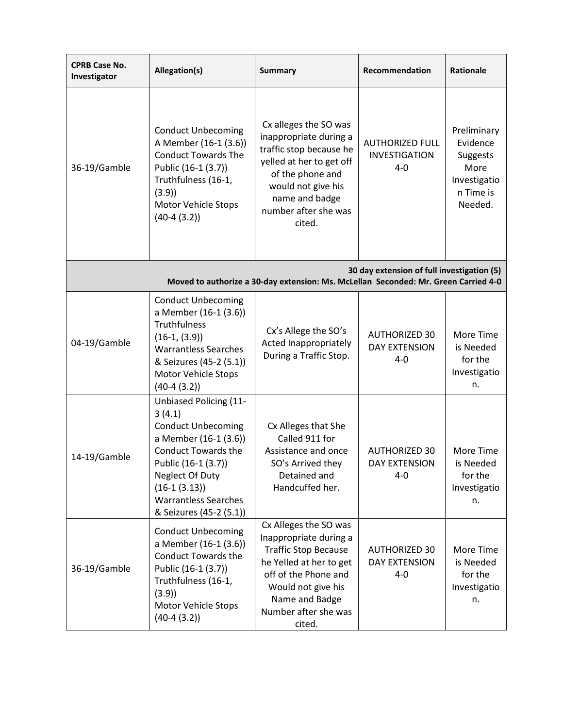| <b>CPRB Case No.</b><br>Investigator                                                                                              | Allegation(s)                                                                                                                                                                                                                                      | <b>Summary</b>                                                                                                                                                                                              | Recommendation                                            | Rationale                                                                           |
|-----------------------------------------------------------------------------------------------------------------------------------|----------------------------------------------------------------------------------------------------------------------------------------------------------------------------------------------------------------------------------------------------|-------------------------------------------------------------------------------------------------------------------------------------------------------------------------------------------------------------|-----------------------------------------------------------|-------------------------------------------------------------------------------------|
| 36-19/Gamble                                                                                                                      | <b>Conduct Unbecoming</b><br>A Member (16-1 (3.6))<br><b>Conduct Towards The</b><br>Public (16-1 (3.7))<br>Truthfulness (16-1,<br>(3.9)<br>Motor Vehicle Stops<br>$(40-4(3.2))$                                                                    | Cx alleges the SO was<br>inappropriate during a<br>traffic stop because he<br>yelled at her to get off<br>of the phone and<br>would not give his<br>name and badge<br>number after she was<br>cited.        | <b>AUTHORIZED FULL</b><br><b>INVESTIGATION</b><br>$4 - 0$ | Preliminary<br>Evidence<br>Suggests<br>More<br>Investigatio<br>n Time is<br>Needed. |
| 30 day extension of full investigation (5)<br>Moved to authorize a 30-day extension: Ms. McLellan Seconded: Mr. Green Carried 4-0 |                                                                                                                                                                                                                                                    |                                                                                                                                                                                                             |                                                           |                                                                                     |
| 04-19/Gamble                                                                                                                      | <b>Conduct Unbecoming</b><br>a Member (16-1 (3.6))<br>Truthfulness<br>$(16-1, (3.9))$<br><b>Warrantless Searches</b><br>& Seizures (45-2 (5.1))<br>Motor Vehicle Stops<br>$(40-4(3.2))$                                                            | Cx's Allege the SO's<br>Acted Inappropriately<br>During a Traffic Stop.                                                                                                                                     | <b>AUTHORIZED 30</b><br><b>DAY EXTENSION</b><br>$4 - 0$   | More Time<br>is Needed<br>for the<br>Investigatio<br>n.                             |
| 14-19/Gamble                                                                                                                      | <b>Unbiased Policing (11-</b><br>3(4.1)<br><b>Conduct Unbecoming</b><br>a Member (16-1 (3.6))<br><b>Conduct Towards the</b><br>Public (16-1 (3.7))<br>Neglect Of Duty<br>$(16-1 (3.13))$<br><b>Warrantless Searches</b><br>& Seizures (45-2 (5.1)) | Cx Alleges that She<br>Called 911 for<br>Assistance and once<br>SO's Arrived they<br>Detained and<br>Handcuffed her.                                                                                        | <b>AUTHORIZED 30</b><br><b>DAY EXTENSION</b><br>$4 - 0$   | More Time<br>is Needed<br>for the<br>Investigatio<br>n.                             |
| 36-19/Gamble                                                                                                                      | <b>Conduct Unbecoming</b><br>a Member (16-1 (3.6))<br><b>Conduct Towards the</b><br>Public (16-1 (3.7))<br>Truthfulness (16-1,<br>(3.9)<br><b>Motor Vehicle Stops</b><br>$(40-4(3.2))$                                                             | Cx Alleges the SO was<br>Inappropriate during a<br><b>Traffic Stop Because</b><br>he Yelled at her to get<br>off of the Phone and<br>Would not give his<br>Name and Badge<br>Number after she was<br>cited. | <b>AUTHORIZED 30</b><br><b>DAY EXTENSION</b><br>4-0       | More Time<br>is Needed<br>for the<br>Investigatio<br>n.                             |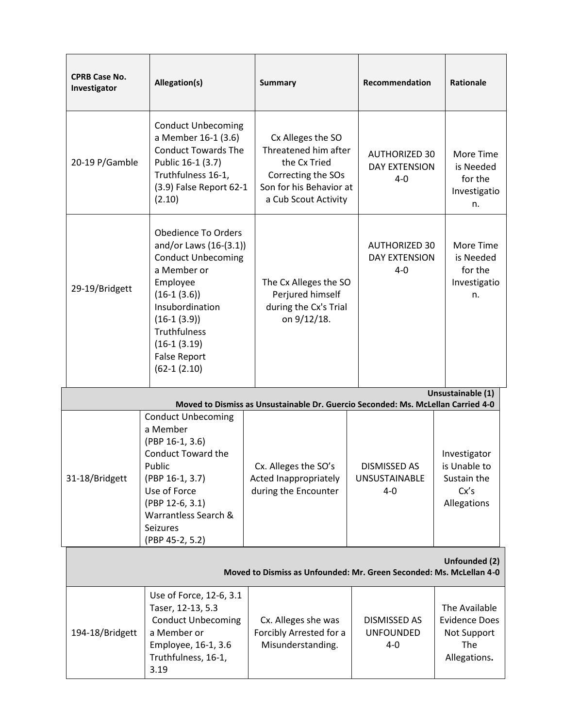| <b>CPRB Case No.</b><br>Investigator                                                 | Allegation(s)                                                                                                                                                                                                                                         | <b>Summary</b>                                                                                                                     | Recommendation                                          | <b>Rationale</b>                                                            |
|--------------------------------------------------------------------------------------|-------------------------------------------------------------------------------------------------------------------------------------------------------------------------------------------------------------------------------------------------------|------------------------------------------------------------------------------------------------------------------------------------|---------------------------------------------------------|-----------------------------------------------------------------------------|
| 20-19 P/Gamble                                                                       | <b>Conduct Unbecoming</b><br>a Member 16-1 (3.6)<br><b>Conduct Towards The</b><br>Public 16-1 (3.7)<br>Truthfulness 16-1,<br>(3.9) False Report 62-1<br>(2.10)                                                                                        | Cx Alleges the SO<br>Threatened him after<br>the Cx Tried<br>Correcting the SOs<br>Son for his Behavior at<br>a Cub Scout Activity | <b>AUTHORIZED 30</b><br><b>DAY EXTENSION</b><br>$4 - 0$ | More Time<br>is Needed<br>for the<br>Investigatio<br>n.                     |
| 29-19/Bridgett                                                                       | <b>Obedience To Orders</b><br>and/or Laws (16-(3.1))<br><b>Conduct Unbecoming</b><br>a Member or<br>Employee<br>$(16-1 (3.6))$<br>Insubordination<br>$(16-1 (3.9))$<br><b>Truthfulness</b><br>$(16-1(3.19))$<br><b>False Report</b><br>$(62-1(2.10))$ | The Cx Alleges the SO<br>Perjured himself<br>during the Cx's Trial<br>on 9/12/18.                                                  | <b>AUTHORIZED 30</b><br><b>DAY EXTENSION</b><br>$4 - 0$ | More Time<br>is Needed<br>for the<br>Investigatio<br>n.                     |
|                                                                                      |                                                                                                                                                                                                                                                       | Moved to Dismiss as Unsustainable Dr. Guercio Seconded: Ms. McLellan Carried 4-0                                                   |                                                         | Unsustainable (1)                                                           |
| 31-18/Bridgett                                                                       | <b>Conduct Unbecoming</b><br>a Member<br>(PBP 16-1, 3.6)<br><b>Conduct Toward the</b><br>Public<br>(PBP 16-1, 3.7)<br>Use of Force<br>(PBP 12-6, 3.1)<br>Warrantless Search &<br>Seizures<br>(PBP 45-2, 5.2)                                          | Cx. Alleges the SO's<br>Acted Inappropriately<br>during the Encounter                                                              | <b>DISMISSED AS</b><br><b>UNSUSTAINABLE</b><br>4-0      | Investigator<br>is Unable to<br>Sustain the<br>Cx's<br>Allegations          |
| Unfounded (2)<br>Moved to Dismiss as Unfounded: Mr. Green Seconded: Ms. McLellan 4-0 |                                                                                                                                                                                                                                                       |                                                                                                                                    |                                                         |                                                                             |
| 194-18/Bridgett                                                                      | Use of Force, 12-6, 3.1<br>Taser, 12-13, 5.3<br><b>Conduct Unbecoming</b><br>a Member or<br>Employee, 16-1, 3.6<br>Truthfulness, 16-1,<br>3.19                                                                                                        | Cx. Alleges she was<br>Forcibly Arrested for a<br>Misunderstanding.                                                                | <b>DISMISSED AS</b><br><b>UNFOUNDED</b><br>$4 - 0$      | The Available<br><b>Evidence Does</b><br>Not Support<br>The<br>Allegations. |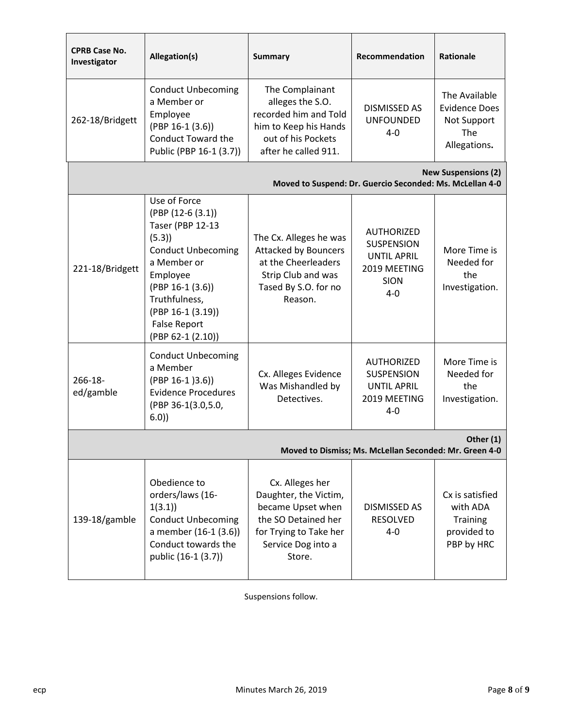| <b>CPRB Case No.</b><br>Investigator                                                   | Allegation(s)                                                                                                                                                                                                                         | <b>Summary</b>                                                                                                                                 | Recommendation                                                                                         | <b>Rationale</b>                                                            |
|----------------------------------------------------------------------------------------|---------------------------------------------------------------------------------------------------------------------------------------------------------------------------------------------------------------------------------------|------------------------------------------------------------------------------------------------------------------------------------------------|--------------------------------------------------------------------------------------------------------|-----------------------------------------------------------------------------|
| 262-18/Bridgett                                                                        | <b>Conduct Unbecoming</b><br>a Member or<br>Employee<br>$(PBP 16-1 (3.6))$<br><b>Conduct Toward the</b><br>Public (PBP 16-1 (3.7))                                                                                                    | The Complainant<br>alleges the S.O.<br>recorded him and Told<br>him to Keep his Hands<br>out of his Pockets<br>after he called 911.            | <b>DISMISSED AS</b><br><b>UNFOUNDED</b><br>$4 - 0$                                                     | The Available<br><b>Evidence Does</b><br>Not Support<br>The<br>Allegations. |
| <b>New Suspensions (2)</b><br>Moved to Suspend: Dr. Guercio Seconded: Ms. McLellan 4-0 |                                                                                                                                                                                                                                       |                                                                                                                                                |                                                                                                        |                                                                             |
| 221-18/Bridgett                                                                        | Use of Force<br>(PBP (12-6 (3.1))<br><b>Taser (PBP 12-13</b><br>(5.3)<br><b>Conduct Unbecoming</b><br>a Member or<br>Employee<br>$(PBP 16-1 (3.6))$<br>Truthfulness,<br>(PBP 16-1 (3.19))<br><b>False Report</b><br>(PBP 62-1 (2.10)) | The Cx. Alleges he was<br><b>Attacked by Bouncers</b><br>at the Cheerleaders<br>Strip Club and was<br>Tased By S.O. for no<br>Reason.          | <b>AUTHORIZED</b><br><b>SUSPENSION</b><br><b>UNTIL APRIL</b><br>2019 MEETING<br><b>SION</b><br>$4 - 0$ | More Time is<br>Needed for<br>the<br>Investigation.                         |
| $266 - 18 -$<br>ed/gamble                                                              | <b>Conduct Unbecoming</b><br>a Member<br>$(PBP 16-1)3.6)$<br><b>Evidence Procedures</b><br>(PBP 36-1(3.0,5.0,<br>6.0)                                                                                                                 | Cx. Alleges Evidence<br>Was Mishandled by<br>Detectives.                                                                                       | <b>AUTHORIZED</b><br><b>SUSPENSION</b><br><b>UNTIL APRIL</b><br>2019 MEETING<br>$4 - 0$                | More Time is<br>Needed for<br>the<br>Investigation.                         |
| Other (1)<br>Moved to Dismiss; Ms. McLellan Seconded: Mr. Green 4-0                    |                                                                                                                                                                                                                                       |                                                                                                                                                |                                                                                                        |                                                                             |
| 139-18/gamble                                                                          | Obedience to<br>orders/laws (16-<br>1(3.1)<br><b>Conduct Unbecoming</b><br>a member (16-1 (3.6))<br>Conduct towards the<br>public (16-1 (3.7))                                                                                        | Cx. Alleges her<br>Daughter, the Victim,<br>became Upset when<br>the SO Detained her<br>for Trying to Take her<br>Service Dog into a<br>Store. | DISMISSED AS<br><b>RESOLVED</b><br>$4 - 0$                                                             | Cx is satisfied<br>with ADA<br><b>Training</b><br>provided to<br>PBP by HRC |

Suspensions follow.